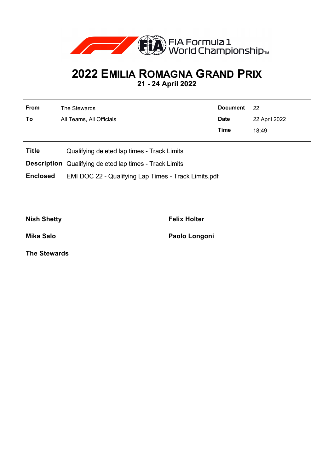

## **2022 EMILIA ROMAGNA GRAND PRIX**

**21 - 24 April 2022**

| <b>From</b> | The Stewards             | Document 22 |               |  |
|-------------|--------------------------|-------------|---------------|--|
| To          | All Teams, All Officials | <b>Date</b> | 22 April 2022 |  |
|             |                          | Time        | 18:49         |  |

- **Title** Qualifying deleted lap times Track Limits
- **Description** Qualifying deleted lap times Track Limits

**Enclosed** EMI DOC 22 - Qualifying Lap Times - Track Limits.pdf

**Nish Shetty Felix Holter**

**Mika Salo Paolo Longoni**

**The Stewards**